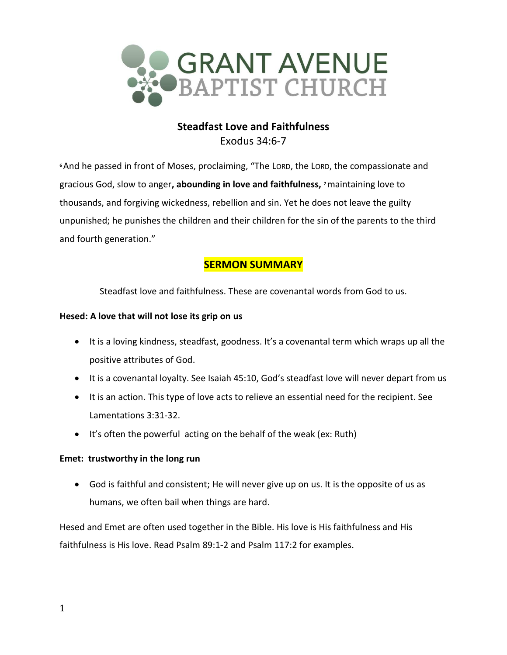

# **Steadfast Love and Faithfulness** Exodus 34:6-7

**<sup>6</sup>**And he passed in front of Moses, proclaiming, "The LORD, the LORD, the compassionate and gracious God, slow to anger**, abounding in love and faithfulness, <sup>7</sup>**maintaining love to thousands, and forgiving wickedness, rebellion and sin. Yet he does not leave the guilty unpunished; he punishes the children and their children for the sin of the parents to the third and fourth generation."

# **SERMON SUMMARY**

Steadfast love and faithfulness. These are covenantal words from God to us.

## **Hesed: A love that will not lose its grip on us**

- It is a loving kindness, steadfast, goodness. It's a covenantal term which wraps up all the positive attributes of God.
- It is a covenantal loyalty. See Isaiah 45:10, God's steadfast love will never depart from us
- It is an action. This type of love acts to relieve an essential need for the recipient. See Lamentations 3:31-32.
- It's often the powerful acting on the behalf of the weak (ex: Ruth)

## **Emet: trustworthy in the long run**

• God is faithful and consistent; He will never give up on us. It is the opposite of us as humans, we often bail when things are hard.

Hesed and Emet are often used together in the Bible. His love is His faithfulness and His faithfulness is His love. Read Psalm 89:1-2 and Psalm 117:2 for examples.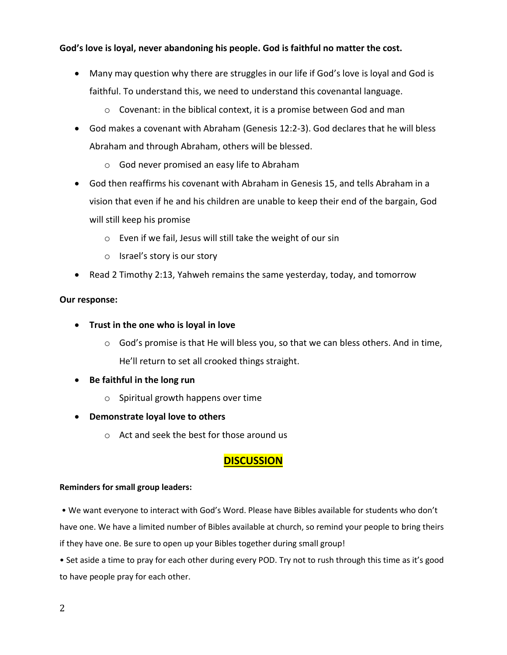## **God's love is loyal, never abandoning his people. God is faithful no matter the cost.**

- Many may question why there are struggles in our life if God's love is loyal and God is faithful. To understand this, we need to understand this covenantal language.
	- o Covenant: in the biblical context, it is a promise between God and man
- God makes a covenant with Abraham (Genesis 12:2-3). God declares that he will bless Abraham and through Abraham, others will be blessed.
	- o God never promised an easy life to Abraham
- God then reaffirms his covenant with Abraham in Genesis 15, and tells Abraham in a vision that even if he and his children are unable to keep their end of the bargain, God will still keep his promise
	- o Even if we fail, Jesus will still take the weight of our sin
	- o Israel's story is our story
- Read 2 Timothy 2:13, Yahweh remains the same yesterday, today, and tomorrow

### **Our response:**

- **Trust in the one who is loyal in love**
	- $\circ$  God's promise is that He will bless you, so that we can bless others. And in time, He'll return to set all crooked things straight.
- **Be faithful in the long run**
	- o Spiritual growth happens over time
- **Demonstrate loyal love to others**
	- o Act and seek the best for those around us

## **DISCUSSION**

### **Reminders for small group leaders:**

• We want everyone to interact with God's Word. Please have Bibles available for students who don't have one. We have a limited number of Bibles available at church, so remind your people to bring theirs if they have one. Be sure to open up your Bibles together during small group!

• Set aside a time to pray for each other during every POD. Try not to rush through this time as it's good to have people pray for each other.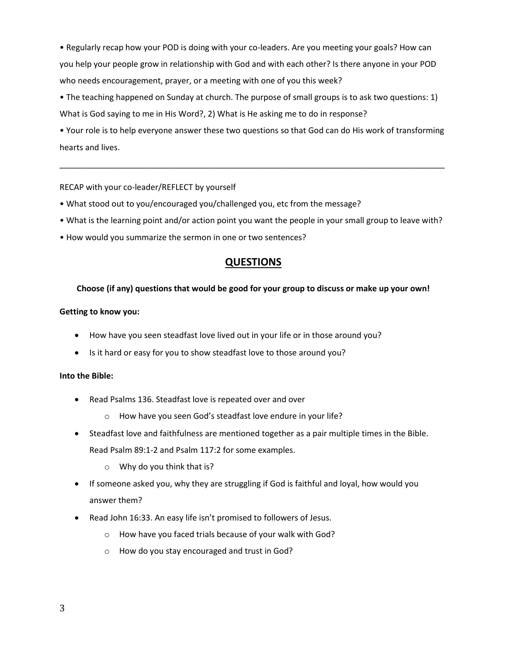• Regularly recap how your POD is doing with your co-leaders. Are you meeting your goals? How can you help your people grow in relationship with God and with each other? Is there anyone in your POD who needs encouragement, prayer, or a meeting with one of you this week?

• The teaching happened on Sunday at church. The purpose of small groups is to ask two questions: 1) What is God saying to me in His Word?, 2) What is He asking me to do in response?

• Your role is to help everyone answer these two questions so that God can do His work of transforming hearts and lives.

\_\_\_\_\_\_\_\_\_\_\_\_\_\_\_\_\_\_\_\_\_\_\_\_\_\_\_\_\_\_\_\_\_\_\_\_\_\_\_\_\_\_\_\_\_\_\_\_\_\_\_\_\_\_\_\_\_\_\_\_\_\_\_\_\_\_\_\_\_\_\_\_\_\_\_\_\_\_\_\_\_\_\_\_\_

#### RECAP with your co-leader/REFLECT by yourself

- What stood out to you/encouraged you/challenged you, etc from the message?
- What is the learning point and/or action point you want the people in your small group to leave with?
- How would you summarize the sermon in one or two sentences?

## **QUESTIONS**

#### **Choose (if any) questions that would be good for your group to discuss or make up your own!**

#### **Getting to know you:**

- How have you seen steadfast love lived out in your life or in those around you?
- Is it hard or easy for you to show steadfast love to those around you?

#### **Into the Bible:**

- Read Psalms 136. Steadfast love is repeated over and over
	- o How have you seen God's steadfast love endure in your life?
- Steadfast love and faithfulness are mentioned together as a pair multiple times in the Bible. Read Psalm 89:1-2 and Psalm 117:2 for some examples.
	- o Why do you think that is?
- If someone asked you, why they are struggling if God is faithful and loyal, how would you answer them?
- Read John 16:33. An easy life isn't promised to followers of Jesus.
	- o How have you faced trials because of your walk with God?
	- o How do you stay encouraged and trust in God?